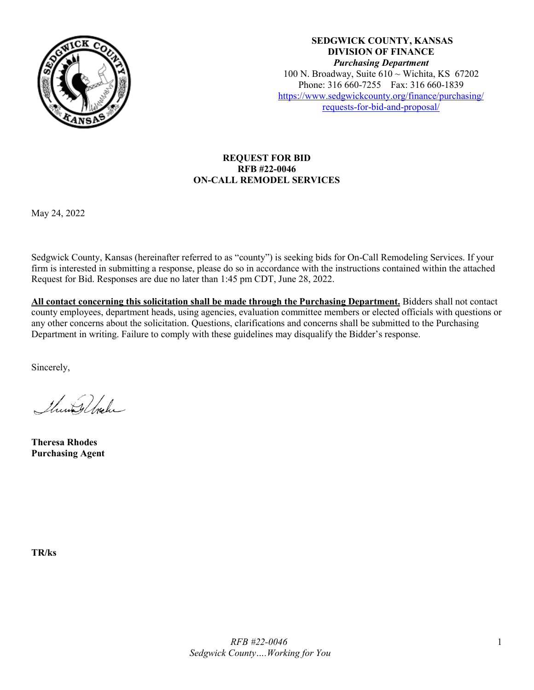

**SEDGWICK COUNTY, KANSAS DIVISION OF FINANCE** *Purchasing Department* 100 N. Broadway, Suite  $610 \sim$  Wichita, KS 67202 Phone: 316 660-7255 Fax: 316 660-1839 [https://www.sedgwickcounty.org/finance/purchasing/](https://www.sedgwickcounty.org/finance/purchasing/requests-for-bid-and-proposal/)  [requests-for-bid-and-proposal/](https://www.sedgwickcounty.org/finance/purchasing/requests-for-bid-and-proposal/)

# **REQUEST FOR BID RFB #22-0046 ON-CALL REMODEL SERVICES**

May 24, 2022

Sedgwick County, Kansas (hereinafter referred to as "county") is seeking bids for On-Call Remodeling Services. If your firm is interested in submitting a response, please do so in accordance with the instructions contained within the attached Request for Bid. Responses are due no later than 1:45 pm CDT, June 28, 2022.

**All contact concerning this solicitation shall be made through the Purchasing Department.** Bidders shall not contact county employees, department heads, using agencies, evaluation committee members or elected officials with questions or any other concerns about the solicitation. Questions, clarifications and concerns shall be submitted to the Purchasing Department in writing. Failure to comply with these guidelines may disqualify the Bidder's response.

Sincerely,

Thursdale

**Theresa Rhodes Purchasing Agent**

**TR/ks**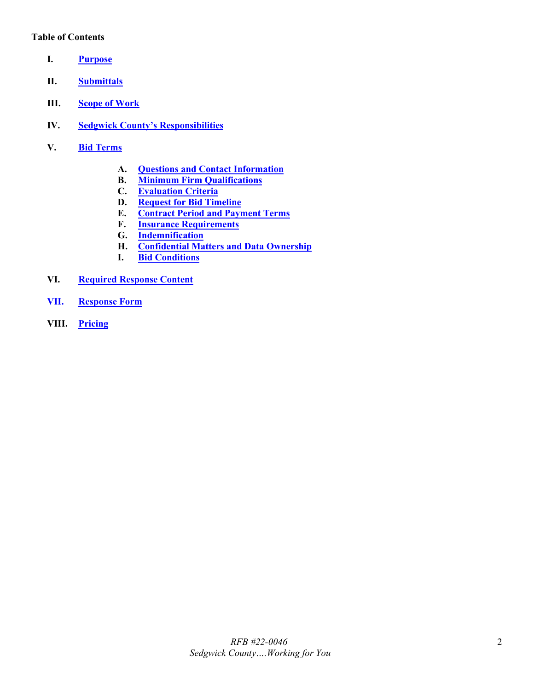## **Table of Contents**

- <span id="page-1-0"></span>**I. [Purpose](#page-2-0)**
- <span id="page-1-1"></span>**II. [Submittals](#page-2-1)**
- <span id="page-1-2"></span>**III. [Scope of Work](#page-2-2)**
- <span id="page-1-3"></span>**IV. [Sedgwick County's Responsibilities](#page-4-0)**
- <span id="page-1-9"></span><span id="page-1-8"></span><span id="page-1-7"></span><span id="page-1-6"></span><span id="page-1-5"></span><span id="page-1-4"></span>**V. Bid [Terms](#page-4-1)**
	- **A. [Questions and Contact Information](#page-4-2)**
	- **B. [Minimum Firm Qualifications](#page-4-3)**
	- **C. [Evaluation Criteria](#page-4-4)**
	- **D. [Request for Bid](#page-4-5) Timeline**
	- **E. [Contract Period and Payment Terms](#page-5-0)**
	- **F. [Insurance Requirements](#page-5-1)**
	- **G. [Indemnification](#page-6-0)**
	- **H. [Confidential Matters and Data Ownership](#page-6-1)**
	- **I. [Bid Conditions](#page-7-0)**
- <span id="page-1-14"></span><span id="page-1-13"></span><span id="page-1-12"></span><span id="page-1-11"></span><span id="page-1-10"></span>**VI. [Required Response Content](#page-8-0)**
- <span id="page-1-15"></span>**VII. [Response Form](#page-9-0)**
- <span id="page-1-16"></span>**VIII. [Pricing](#page-9-1)**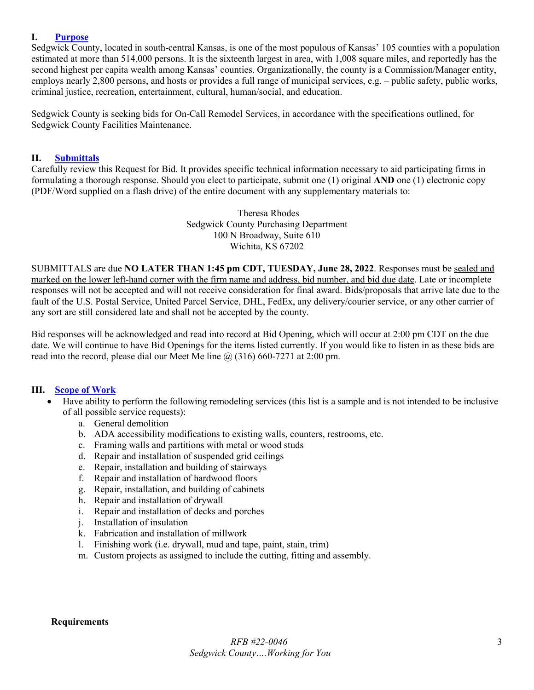## <span id="page-2-0"></span>**I. [Purpose](#page-1-0)**

Sedgwick County, located in south-central Kansas, is one of the most populous of Kansas' 105 counties with a population estimated at more than 514,000 persons. It is the sixteenth largest in area, with 1,008 square miles, and reportedly has the second highest per capita wealth among Kansas' counties. Organizationally, the county is a Commission/Manager entity, employs nearly 2,800 persons, and hosts or provides a full range of municipal services, e.g. – public safety, public works, criminal justice, recreation, entertainment, cultural, human/social, and education.

Sedgwick County is seeking bids for On-Call Remodel Services, in accordance with the specifications outlined, for Sedgwick County Facilities Maintenance.

### <span id="page-2-1"></span>**II. [Submittals](#page-1-1)**

Carefully review this Request for Bid. It provides specific technical information necessary to aid participating firms in formulating a thorough response. Should you elect to participate, submit one (1) original **AND** one (1) electronic copy (PDF/Word supplied on a flash drive) of the entire document with any supplementary materials to:

> Theresa Rhodes Sedgwick County Purchasing Department 100 N Broadway, Suite 610 Wichita, KS 67202

SUBMITTALS are due **NO LATER THAN 1:45 pm CDT, TUESDAY, June 28, 2022**. Responses must be sealed and marked on the lower left-hand corner with the firm name and address, bid number, and bid due date. Late or incomplete responses will not be accepted and will not receive consideration for final award. Bids/proposals that arrive late due to the fault of the U.S. Postal Service, United Parcel Service, DHL, FedEx, any delivery/courier service, or any other carrier of any sort are still considered late and shall not be accepted by the county.

Bid responses will be acknowledged and read into record at Bid Opening, which will occur at 2:00 pm CDT on the due date. We will continue to have Bid Openings for the items listed currently. If you would like to listen in as these bids are read into the record, please dial our Meet Me line  $(a)$  (316) 660-7271 at 2:00 pm.

### <span id="page-2-2"></span>**III. [Scope of Work](#page-1-2)**

- Have ability to perform the following remodeling services (this list is a sample and is not intended to be inclusive of all possible service requests):
	- a. General demolition
	- b. ADA accessibility modifications to existing walls, counters, restrooms, etc.
	- c. Framing walls and partitions with metal or wood studs
	- d. Repair and installation of suspended grid ceilings
	- e. Repair, installation and building of stairways
	- f. Repair and installation of hardwood floors
	- g. Repair, installation, and building of cabinets
	- h. Repair and installation of drywall
	- i. Repair and installation of decks and porches
	- j. Installation of insulation
	- k. Fabrication and installation of millwork
	- l. Finishing work (i.e. drywall, mud and tape, paint, stain, trim)
	- m. Custom projects as assigned to include the cutting, fitting and assembly.

### **Requirements**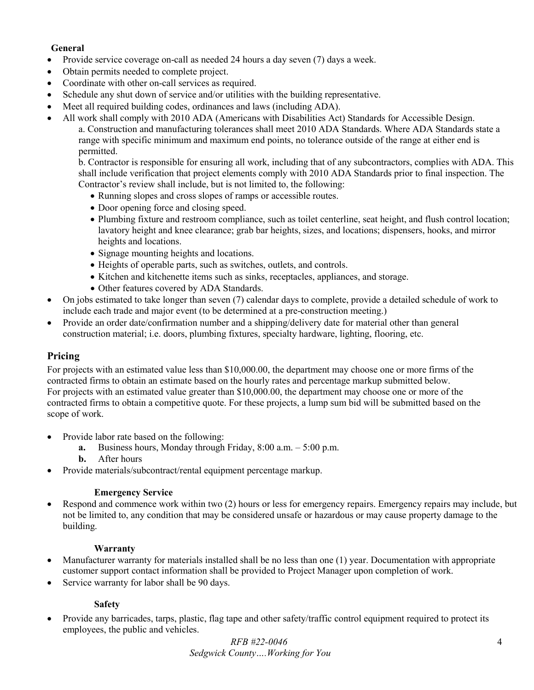# **General**

- Provide service coverage on-call as needed 24 hours a day seven (7) days a week.
- Obtain permits needed to complete project.
- Coordinate with other on-call services as required.
- Schedule any shut down of service and/or utilities with the building representative.
- Meet all required building codes, ordinances and laws (including ADA).
- All work shall comply with 2010 ADA (Americans with Disabilities Act) Standards for Accessible Design. a. Construction and manufacturing tolerances shall meet 2010 ADA Standards. Where ADA Standards state a range with specific minimum and maximum end points, no tolerance outside of the range at either end is permitted.

b. Contractor is responsible for ensuring all work, including that of any subcontractors, complies with ADA. This shall include verification that project elements comply with 2010 ADA Standards prior to final inspection. The Contractor's review shall include, but is not limited to, the following:

- Running slopes and cross slopes of ramps or accessible routes.
- Door opening force and closing speed.
- Plumbing fixture and restroom compliance, such as toilet centerline, seat height, and flush control location; lavatory height and knee clearance; grab bar heights, sizes, and locations; dispensers, hooks, and mirror heights and locations.
- Signage mounting heights and locations.
- Heights of operable parts, such as switches, outlets, and controls.
- Kitchen and kitchenette items such as sinks, receptacles, appliances, and storage.
- Other features covered by ADA Standards.
- On jobs estimated to take longer than seven (7) calendar days to complete, provide a detailed schedule of work to include each trade and major event (to be determined at a pre-construction meeting.)
- Provide an order date/confirmation number and a shipping/delivery date for material other than general construction material; i.e. doors, plumbing fixtures, specialty hardware, lighting, flooring, etc.

## **Pricing**

For projects with an estimated value less than \$10,000.00, the department may choose one or more firms of the contracted firms to obtain an estimate based on the hourly rates and percentage markup submitted below. For projects with an estimated value greater than \$10,000.00, the department may choose one or more of the contracted firms to obtain a competitive quote. For these projects, a lump sum bid will be submitted based on the scope of work.

- Provide labor rate based on the following:
	- **a.** Business hours, Monday through Friday, 8:00 a.m. 5:00 p.m.
	- **b.** After hours
- Provide materials/subcontract/rental equipment percentage markup.

### **Emergency Service**

• Respond and commence work within two (2) hours or less for emergency repairs. Emergency repairs may include, but not be limited to, any condition that may be considered unsafe or hazardous or may cause property damage to the building.

### **Warranty**

- Manufacturer warranty for materials installed shall be no less than one (1) year. Documentation with appropriate customer support contact information shall be provided to Project Manager upon completion of work.
- Service warranty for labor shall be 90 days.

## **Safety**

• Provide any barricades, tarps, plastic, flag tape and other safety/traffic control equipment required to protect its employees, the public and vehicles.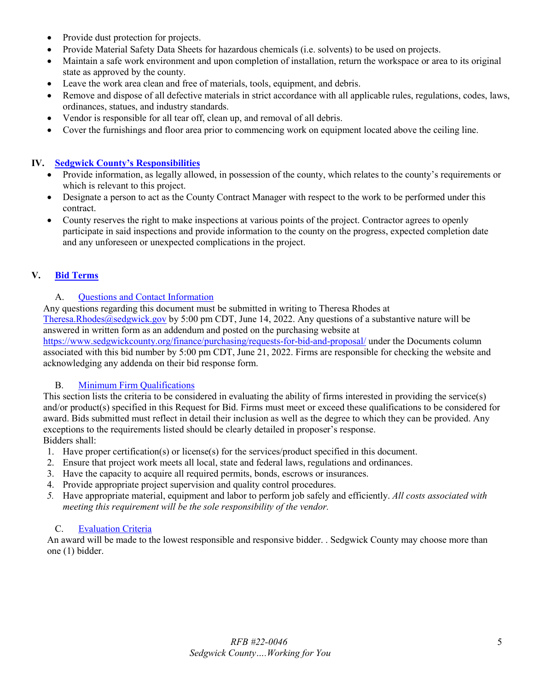- Provide dust protection for projects.
- Provide Material Safety Data Sheets for hazardous chemicals (i.e. solvents) to be used on projects.
- Maintain a safe work environment and upon completion of installation, return the workspace or area to its original state as approved by the county.
- Leave the work area clean and free of materials, tools, equipment, and debris.
- Remove and dispose of all defective materials in strict accordance with all applicable rules, regulations, codes, laws, ordinances, statues, and industry standards.
- Vendor is responsible for all tear off, clean up, and removal of all debris.
- Cover the furnishings and floor area prior to commencing work on equipment located above the ceiling line.

## <span id="page-4-0"></span>**IV. [Sedgwick County's Responsibilities](#page-1-3)**

- Provide information, as legally allowed, in possession of the county, which relates to the county's requirements or which is relevant to this project.
- Designate a person to act as the County Contract Manager with respect to the work to be performed under this contract.
- County reserves the right to make inspections at various points of the project. Contractor agrees to openly participate in said inspections and provide information to the county on the progress, expected completion date and any unforeseen or unexpected complications in the project.

# <span id="page-4-1"></span>**V. Bid [Terms](#page-1-4)**

## A. [Questions and Contact Information](#page-1-5)

<span id="page-4-2"></span>Any questions regarding this document must be submitted in writing to Theresa Rhodes at [Theresa.Rhodes@sedgwick.gov](mailto:Theresa.Rhodes@sedgwick.gov) by 5:00 pm CDT, June 14, 2022. Any questions of a substantive nature will be answered in written form as an addendum and posted on the purchasing website at

<https://www.sedgwickcounty.org/finance/purchasing/requests-for-bid-and-proposal/>under the Documents column associated with this bid number by 5:00 pm CDT, June 21, 2022. Firms are responsible for checking the website and acknowledging any addenda on their bid response form.

# B. [Minimum Firm Qualifications](#page-1-6)

<span id="page-4-3"></span>This section lists the criteria to be considered in evaluating the ability of firms interested in providing the service(s) and/or product(s) specified in this Request for Bid. Firms must meet or exceed these qualifications to be considered for award. Bids submitted must reflect in detail their inclusion as well as the degree to which they can be provided. Any exceptions to the requirements listed should be clearly detailed in proposer's response. Bidders shall:

- 1. Have proper certification(s) or license(s) for the services/product specified in this document.
- 2. Ensure that project work meets all local, state and federal laws, regulations and ordinances.
- 3. Have the capacity to acquire all required permits, bonds, escrows or insurances.
- 4. Provide appropriate project supervision and quality control procedures.
- *5.* Have appropriate material, equipment and labor to perform job safely and efficiently. *All costs associated with meeting this requirement will be the sole responsibility of the vendor.*

### C. [Evaluation Criteria](#page-1-7)

<span id="page-4-5"></span><span id="page-4-4"></span>An award will be made to the lowest responsible and responsive bidder. . Sedgwick County may choose more than one (1) bidder.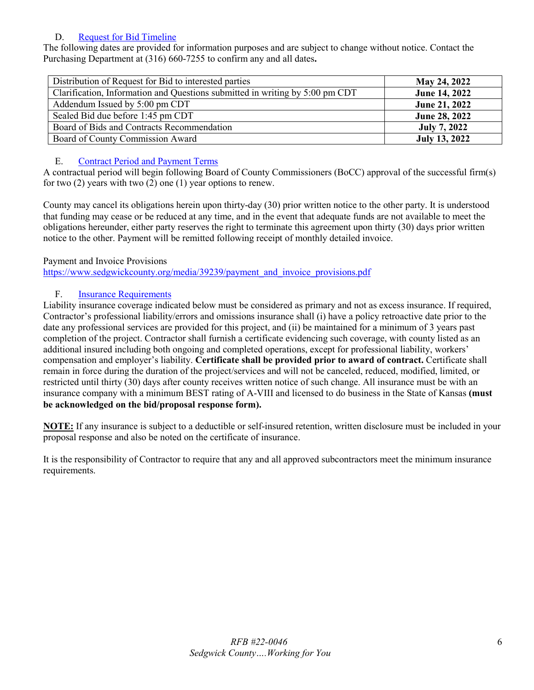# D. [Request for Bid](#page-1-8) Timeline

The following dates are provided for information purposes and are subject to change without notice. Contact the Purchasing Department at (316) 660-7255 to confirm any and all dates**.** 

| Distribution of Request for Bid to interested parties                        | May 24, 2022         |
|------------------------------------------------------------------------------|----------------------|
| Clarification, Information and Questions submitted in writing by 5:00 pm CDT | June 14, 2022        |
| Addendum Issued by 5:00 pm CDT                                               | June 21, 2022        |
| Sealed Bid due before 1:45 pm CDT                                            | June 28, 2022        |
| Board of Bids and Contracts Recommendation                                   | <b>July 7, 2022</b>  |
| Board of County Commission Award                                             | <b>July 13, 2022</b> |

# E. [Contract Period and Payment Terms](#page-1-9)

<span id="page-5-0"></span>A contractual period will begin following Board of County Commissioners (BoCC) approval of the successful firm(s) for two (2) years with two (2) one (1) year options to renew.

County may cancel its obligations herein upon thirty-day (30) prior written notice to the other party. It is understood that funding may cease or be reduced at any time, and in the event that adequate funds are not available to meet the obligations hereunder, either party reserves the right to terminate this agreement upon thirty (30) days prior written notice to the other. Payment will be remitted following receipt of monthly detailed invoice.

# Payment and Invoice Provisions

[https://www.sedgwickcounty.org/media/39239/payment\\_and\\_invoice\\_provisions.pdf](https://www.sedgwickcounty.org/media/39239/payment_and_invoice_provisions.pdf)

# F. [Insurance Requirements](#page-1-10)

<span id="page-5-1"></span>Liability insurance coverage indicated below must be considered as primary and not as excess insurance. If required, Contractor's professional liability/errors and omissions insurance shall (i) have a policy retroactive date prior to the date any professional services are provided for this project, and (ii) be maintained for a minimum of 3 years past completion of the project. Contractor shall furnish a certificate evidencing such coverage, with county listed as an additional insured including both ongoing and completed operations, except for professional liability, workers' compensation and employer's liability. **Certificate shall be provided prior to award of contract.** Certificate shall remain in force during the duration of the project/services and will not be canceled, reduced, modified, limited, or restricted until thirty (30) days after county receives written notice of such change. All insurance must be with an insurance company with a minimum BEST rating of A-VIII and licensed to do business in the State of Kansas **(must be acknowledged on the bid/proposal response form).**

**NOTE:** If any insurance is subject to a deductible or self-insured retention, written disclosure must be included in your proposal response and also be noted on the certificate of insurance.

It is the responsibility of Contractor to require that any and all approved subcontractors meet the minimum insurance requirements.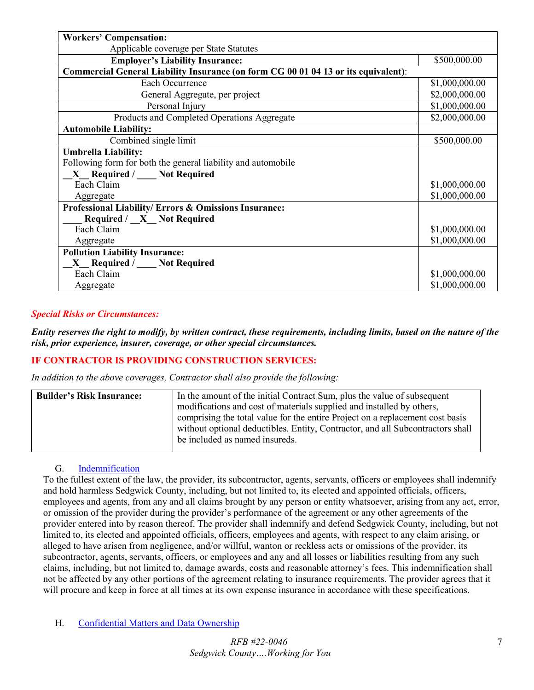| <b>Workers' Compensation:</b>                                                      |                |  |
|------------------------------------------------------------------------------------|----------------|--|
| Applicable coverage per State Statutes                                             |                |  |
| <b>Employer's Liability Insurance:</b>                                             | \$500,000.00   |  |
| Commercial General Liability Insurance (on form CG 00 01 04 13 or its equivalent): |                |  |
| Each Occurrence                                                                    | \$1,000,000.00 |  |
| General Aggregate, per project                                                     | \$2,000,000.00 |  |
| Personal Injury                                                                    | \$1,000,000.00 |  |
| Products and Completed Operations Aggregate                                        | \$2,000,000.00 |  |
| <b>Automobile Liability:</b>                                                       |                |  |
| Combined single limit                                                              | \$500,000.00   |  |
| <b>Umbrella Liability:</b>                                                         |                |  |
| Following form for both the general liability and automobile                       |                |  |
| X_Required / __ Not Required                                                       |                |  |
| Each Claim                                                                         | \$1,000,000.00 |  |
| Aggregate                                                                          | \$1,000,000.00 |  |
| Professional Liability/ Errors & Omissions Insurance:                              |                |  |
| Required / X Not Required                                                          |                |  |
| Each Claim                                                                         | \$1,000,000.00 |  |
| Aggregate                                                                          | \$1,000,000.00 |  |
| <b>Pollution Liability Insurance:</b>                                              |                |  |
| X Required / Not Required                                                          |                |  |
| Each Claim                                                                         | \$1,000,000.00 |  |
| Aggregate                                                                          | \$1,000,000.00 |  |

## *Special Risks or Circumstances:*

*Entity reserves the right to modify, by written contract, these requirements, including limits, based on the nature of the risk, prior experience, insurer, coverage, or other special circumstances.*

## **IF CONTRACTOR IS PROVIDING CONSTRUCTION SERVICES:**

*In addition to the above coverages, Contractor shall also provide the following:*

| <b>Builder's Risk Insurance:</b> | In the amount of the initial Contract Sum, plus the value of subsequent        |  |
|----------------------------------|--------------------------------------------------------------------------------|--|
|                                  | modifications and cost of materials supplied and installed by others,          |  |
|                                  | comprising the total value for the entire Project on a replacement cost basis  |  |
|                                  | without optional deductibles. Entity, Contractor, and all Subcontractors shall |  |
|                                  | be included as named insureds.                                                 |  |
|                                  |                                                                                |  |

### G. [Indemnification](#page-1-11)

<span id="page-6-0"></span>To the fullest extent of the law, the provider, its subcontractor, agents, servants, officers or employees shall indemnify and hold harmless Sedgwick County, including, but not limited to, its elected and appointed officials, officers, employees and agents, from any and all claims brought by any person or entity whatsoever, arising from any act, error, or omission of the provider during the provider's performance of the agreement or any other agreements of the provider entered into by reason thereof. The provider shall indemnify and defend Sedgwick County, including, but not limited to, its elected and appointed officials, officers, employees and agents, with respect to any claim arising, or alleged to have arisen from negligence, and/or willful, wanton or reckless acts or omissions of the provider, its subcontractor, agents, servants, officers, or employees and any and all losses or liabilities resulting from any such claims, including, but not limited to, damage awards, costs and reasonable attorney's fees. This indemnification shall not be affected by any other portions of the agreement relating to insurance requirements. The provider agrees that it will procure and keep in force at all times at its own expense insurance in accordance with these specifications.

<span id="page-6-1"></span>H. [Confidential Matters and Data Ownership](#page-1-12)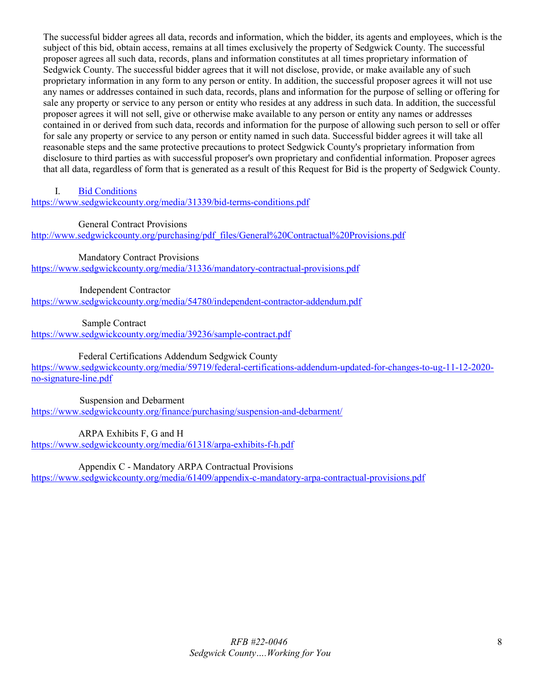The successful bidder agrees all data, records and information, which the bidder, its agents and employees, which is the subject of this bid, obtain access, remains at all times exclusively the property of Sedgwick County. The successful proposer agrees all such data, records, plans and information constitutes at all times proprietary information of Sedgwick County. The successful bidder agrees that it will not disclose, provide, or make available any of such proprietary information in any form to any person or entity. In addition, the successful proposer agrees it will not use any names or addresses contained in such data, records, plans and information for the purpose of selling or offering for sale any property or service to any person or entity who resides at any address in such data. In addition, the successful proposer agrees it will not sell, give or otherwise make available to any person or entity any names or addresses contained in or derived from such data, records and information for the purpose of allowing such person to sell or offer for sale any property or service to any person or entity named in such data. Successful bidder agrees it will take all reasonable steps and the same protective precautions to protect Sedgwick County's proprietary information from disclosure to third parties as with successful proposer's own proprietary and confidential information. Proposer agrees that all data, regardless of form that is generated as a result of this Request for Bid is the property of Sedgwick County.

<span id="page-7-0"></span>I. [Bid Conditions](#page-1-13)

<https://www.sedgwickcounty.org/media/31339/bid-terms-conditions.pdf>

General Contract Provisions

[http://www.sedgwickcounty.org/purchasing/pdf\\_files/General%20Contractual%20Provisions.pdf](https://www.sedgwickcounty.org/media/31337/general-contractual-provisions.pdf) 

Mandatory Contract Provisions <https://www.sedgwickcounty.org/media/31336/mandatory-contractual-provisions.pdf>

 Independent Contractor <https://www.sedgwickcounty.org/media/54780/independent-contractor-addendum.pdf>

Sample Contract

<https://www.sedgwickcounty.org/media/39236/sample-contract.pdf>

Federal Certifications Addendum Sedgwick County

[https://www.sedgwickcounty.org/media/59719/federal-certifications-addendum-updated-for-changes-to-ug-11-12-2020](https://www.sedgwickcounty.org/media/59719/federal-certifications-addendum-updated-for-changes-to-ug-11-12-2020-no-signature-line.pdf) [no-signature-line.pdf](https://www.sedgwickcounty.org/media/59719/federal-certifications-addendum-updated-for-changes-to-ug-11-12-2020-no-signature-line.pdf)

 Suspension and Debarment <https://www.sedgwickcounty.org/finance/purchasing/suspension-and-debarment/>

ARPA Exhibits F, G and H

<https://www.sedgwickcounty.org/media/61318/arpa-exhibits-f-h.pdf>

Appendix C - Mandatory ARPA Contractual Provisions

<https://www.sedgwickcounty.org/media/61409/appendix-c-mandatory-arpa-contractual-provisions.pdf>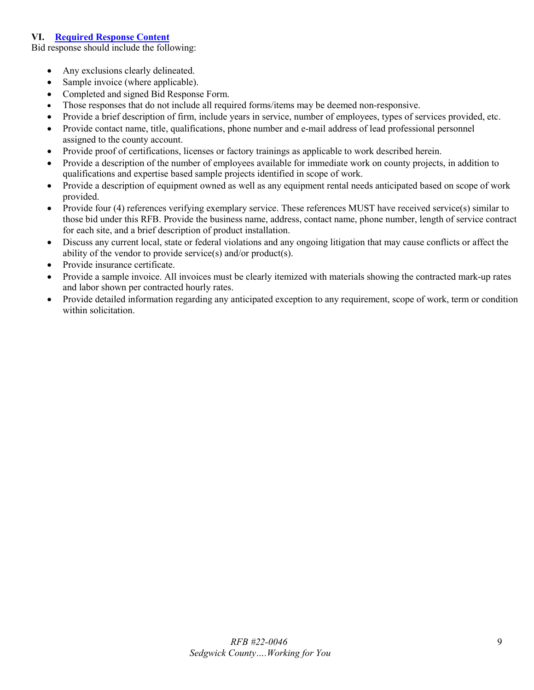## <span id="page-8-0"></span>**VI. [Required Response Content](#page-1-14)**

Bid response should include the following:

- Any exclusions clearly delineated.
- Sample invoice (where applicable).
- Completed and signed Bid Response Form.
- Those responses that do not include all required forms/items may be deemed non-responsive.
- Provide a brief description of firm, include years in service, number of employees, types of services provided, etc.
- Provide contact name, title, qualifications, phone number and e-mail address of lead professional personnel assigned to the county account.
- Provide proof of certifications, licenses or factory trainings as applicable to work described herein.
- Provide a description of the number of employees available for immediate work on county projects, in addition to qualifications and expertise based sample projects identified in scope of work.
- Provide a description of equipment owned as well as any equipment rental needs anticipated based on scope of work provided.
- Provide four (4) references verifying exemplary service. These references MUST have received service(s) similar to those bid under this RFB. Provide the business name, address, contact name, phone number, length of service contract for each site, and a brief description of product installation.
- Discuss any current local, state or federal violations and any ongoing litigation that may cause conflicts or affect the ability of the vendor to provide service(s) and/or product(s).
- Provide insurance certificate.
- Provide a sample invoice. All invoices must be clearly itemized with materials showing the contracted mark-up rates and labor shown per contracted hourly rates.
- Provide detailed information regarding any anticipated exception to any requirement, scope of work, term or condition within solicitation.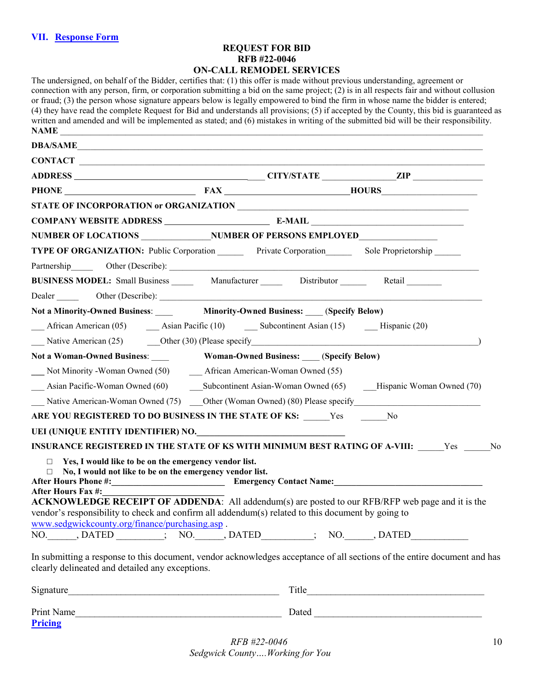# **REQUEST FOR BID RFB #22-0046 ON-CALL REMODEL SERVICES**

<span id="page-9-0"></span>

| The undersigned, on behalf of the Bidder, certifies that: (1) this offer is made without previous understanding, agreement or<br>connection with any person, firm, or corporation submitting a bid on the same project; $(2)$ is in all respects fair and without collusion<br>or fraud; (3) the person whose signature appears below is legally empowered to bind the firm in whose name the bidder is entered;<br>(4) they have read the complete Request for Bid and understands all provisions; (5) if accepted by the County, this bid is guaranteed as<br>written and amended and will be implemented as stated; and (6) mistakes in writing of the submitted bid will be their responsibility.<br>NAME <b>SECURE 2006</b> |                                                  |  |
|----------------------------------------------------------------------------------------------------------------------------------------------------------------------------------------------------------------------------------------------------------------------------------------------------------------------------------------------------------------------------------------------------------------------------------------------------------------------------------------------------------------------------------------------------------------------------------------------------------------------------------------------------------------------------------------------------------------------------------|--------------------------------------------------|--|
| DBA/SAME                                                                                                                                                                                                                                                                                                                                                                                                                                                                                                                                                                                                                                                                                                                         |                                                  |  |
| CONTACT                                                                                                                                                                                                                                                                                                                                                                                                                                                                                                                                                                                                                                                                                                                          |                                                  |  |
|                                                                                                                                                                                                                                                                                                                                                                                                                                                                                                                                                                                                                                                                                                                                  |                                                  |  |
| PHONE FAX HOURS                                                                                                                                                                                                                                                                                                                                                                                                                                                                                                                                                                                                                                                                                                                  |                                                  |  |
|                                                                                                                                                                                                                                                                                                                                                                                                                                                                                                                                                                                                                                                                                                                                  |                                                  |  |
|                                                                                                                                                                                                                                                                                                                                                                                                                                                                                                                                                                                                                                                                                                                                  |                                                  |  |
| NUMBER OF LOCATIONS NUMBER OF PERSONS EMPLOYED                                                                                                                                                                                                                                                                                                                                                                                                                                                                                                                                                                                                                                                                                   |                                                  |  |
| TYPE OF ORGANIZATION: Public Corporation Private Corporation Sole Proprietorship                                                                                                                                                                                                                                                                                                                                                                                                                                                                                                                                                                                                                                                 |                                                  |  |
| Partnership Other (Describe):                                                                                                                                                                                                                                                                                                                                                                                                                                                                                                                                                                                                                                                                                                    |                                                  |  |
| BUSINESS MODEL: Small Business _______ Manufacturer _______ Distributor _______ Retail                                                                                                                                                                                                                                                                                                                                                                                                                                                                                                                                                                                                                                           |                                                  |  |
| Dealer Other (Describe): <u>Contact Contact Contact Contact Contact Contact Contact Contact Contact Contact Contact Contact Contact Contact Contact Contact Contact Contact Contact Contact Contact Contact Contact Contact Cont</u>                                                                                                                                                                                                                                                                                                                                                                                                                                                                                             |                                                  |  |
| Not a Minority-Owned Business: Minority-Owned Business: (Specify Below)                                                                                                                                                                                                                                                                                                                                                                                                                                                                                                                                                                                                                                                          |                                                  |  |
| African American (05) <b>Asian Pacific (10) Subcontinent Asian (15) __</b> Hispanic (20)                                                                                                                                                                                                                                                                                                                                                                                                                                                                                                                                                                                                                                         |                                                  |  |
|                                                                                                                                                                                                                                                                                                                                                                                                                                                                                                                                                                                                                                                                                                                                  |                                                  |  |
| Not a Woman-Owned Business:                                                                                                                                                                                                                                                                                                                                                                                                                                                                                                                                                                                                                                                                                                      | <b>Woman-Owned Business:</b> ____(Specify Below) |  |
| Not Minority - Woman Owned (50) African American-Woman Owned (55)                                                                                                                                                                                                                                                                                                                                                                                                                                                                                                                                                                                                                                                                |                                                  |  |
| Asian Pacific-Woman Owned (60) Subcontinent Asian-Woman Owned (65) Hispanic Woman Owned (70)                                                                                                                                                                                                                                                                                                                                                                                                                                                                                                                                                                                                                                     |                                                  |  |
| Native American-Woman Owned (75) Other (Woman Owned) (80) Please specify                                                                                                                                                                                                                                                                                                                                                                                                                                                                                                                                                                                                                                                         |                                                  |  |
| ARE YOU REGISTERED TO DO BUSINESS IN THE STATE OF KS: Yes No                                                                                                                                                                                                                                                                                                                                                                                                                                                                                                                                                                                                                                                                     |                                                  |  |
| UEI (UNIQUE ENTITY IDENTIFIER) NO.                                                                                                                                                                                                                                                                                                                                                                                                                                                                                                                                                                                                                                                                                               |                                                  |  |
| INSURANCE REGISTERED IN THE STATE OF KS WITH MINIMUM BEST RATING OF A-VIII: Yes No                                                                                                                                                                                                                                                                                                                                                                                                                                                                                                                                                                                                                                               |                                                  |  |
| $\Box$ Yes, I would like to be on the emergency vendor list.<br>$\Box$ No, I would not like to be on the emergency vendor list.<br><b>After Hours Fax #:</b><br>ACKNOWLEDGE RECEIPT OF ADDENDA: All addendum(s) are posted to our RFB/RFP web page and it is the<br>vendor's responsibility to check and confirm all addendum(s) related to this document by going to<br>www.sedgwickcounty.org/finance/purchasing.asp.<br>NO. DATED ; NO. DATED ; NO. DATED ; NO. DATED                                                                                                                                                                                                                                                         |                                                  |  |
| In submitting a response to this document, vendor acknowledges acceptance of all sections of the entire document and has<br>clearly delineated and detailed any exceptions.                                                                                                                                                                                                                                                                                                                                                                                                                                                                                                                                                      |                                                  |  |
|                                                                                                                                                                                                                                                                                                                                                                                                                                                                                                                                                                                                                                                                                                                                  |                                                  |  |
| Print Name                                                                                                                                                                                                                                                                                                                                                                                                                                                                                                                                                                                                                                                                                                                       |                                                  |  |

<span id="page-9-1"></span>**[Pricing](#page-1-16)**

*RFB #22-0046 Sedgwick County….Working for You*